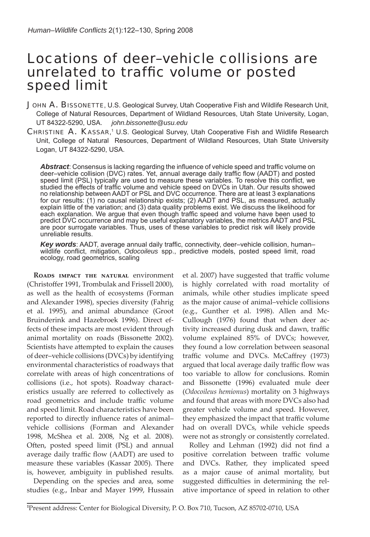# Locations of deer–vehicle collisions are unrelated to traffic volume or posted speed limit

JOHN A. BISSONETTE, U.S. Geological Survey, Utah Cooperative Fish and Wildlife Research Unit, College of Natural Resources, Department of Wildland Resources, Utah State University, Logan, UT 84322-5290, USA. *john.bissonette@usu.edu*

CHRISTINE A. KASSAR,<sup>1</sup> U.S. Geological Survey, Utah Cooperative Fish and Wildlife Research Unit, College of Natural Resources, Department of Wildland Resources, Utah State University Logan, UT 84322-5290, USA.

Abstract: Consensus is lacking regarding the influence of vehicle speed and traffic volume on deer–vehicle collision (DVC) rates. Yet, annual average daily traffic flow (AADT) and posted speed limit (PSL) typically are used to measure these variables. To resolve this conflict, we studied the effects of traffic volume and vehicle speed on DVCs in Utah. Our results showed no relationship between AADT or PSL and DVC occurrence. There are at least 3 explanations for our results: (1) no causal relationship exists; (2) AADT and PSL, as measured, actually explain little of the variation; and (3) data quality problems exist. We discuss the likelihood for each explanation. We argue that even though traffic speed and volume have been used to predict DVC occurrence and may be useful explanatory variables, the metrics AADT and PSL are poor surrogate variables. Thus, uses of these variables to predict risk will likely provide unreliable results.

Key words: AADT, average annual daily traffic, connectivity, deer-vehicle collision, humanwildlife conflict, mitigation, *Odocoileus* spp., predictive models, posted speed limit, road ecology, road geometrics, scaling

**Roads impact the natural** environment (Christoffer 1991, Trombulak and Frissell 2000), as well as the health of ecosystems (Forman and Alexander 1998), species diversity (Fahrig et al. 1995), and animal abundance (Groot Bruinderink and Hazebroek 1996). Direct effects of these impacts are most evident through animal mortality on roads (Bissonette 2002). Scientists have attempted to explain the causes of deer‒vehicle collisions (DVCs) by identifying environmental characteristics of roadways that correlate with areas of high concentrations of collisions (i.e., hot spots). Roadway characteristics usually are referred to collectively as road geometrics and include traffic volume and speed limit. Road characteristics have been reported to directly influence rates of animalvehicle collisions (Forman and Alexander 1998, McShea et al. 2008, Ng et al. 2008). Often, posted speed limit (PSL) and annual average daily traffic flow (AADT) are used to measure these variables (Kassar 2005). There is, however, ambiguity in published results.

Depending on the species and area, some studies (e.g., Inbar and Mayer 1999, Hussain et al. 2007) have suggested that traffic volume is highly correlated with road mortality of animals, while other studies implicate speed as the major cause of animal–vehicle collisions (e.g., Gunther et al. 1998). Allen and Mc-Cullough (1976) found that when deer activity increased during dusk and dawn, traffic volume explained 85% of DVCs; however, they found a low correlation between seasonal traffic volume and DVCs. McCaffrey (1973) argued that local average daily traffic flow was too variable to allow for conclusions. Romin and Bissonette (1996) evaluated mule deer (*Odocoileus hemionus*) mortality on 3 highways and found that areas with more DVCs also had greater vehicle volume and speed. However, they emphasized the impact that traffic volume had on overall DVCs, while vehicle speeds were not as strongly or consistently correlated.

Rolley and Lehman (1992) did not find a positive correlation between traffic volume and DVCs. Rather, they implicated speed as a major cause of animal mortality, but suggested difficulties in determining the relative importance of speed in relation to other

**<sup>1</sup>** Present address: Center for Biological Diversity, P. O. Box 710, Tucson, AZ 85702-0710, USA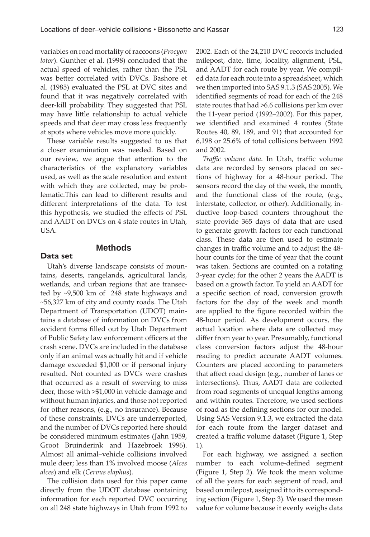variables on road mortality of raccoons (*Procyon lotor*). Gunther et al. (1998) concluded that the actual speed of vehicles, rather than the PSL was better correlated with DVCs. Bashore et al. (1985) evaluated the PSL at DVC sites and found that it was negatively correlated with deer-kill probability. They suggested that PSL may have little relationship to actual vehicle speeds and that deer may cross less frequently at spots where vehicles move more quickly.

These variable results suggested to us that a closer examination was needed. Based on our review, we argue that attention to the characteristics of the explanatory variables used, as well as the scale resolution and extent with which they are collected, may be problematic.This can lead to different results and different interpretations of the data. To test this hypothesis, we studied the effects of PSL and AADT on DVCs on 4 state routes in Utah, USA.

# **Methods**

**Data set**

Utah's diverse landscape consists of mountains, deserts, rangelands, agricultural lands, wetlands, and urban regions that are transected by ~9,500 km of 248 state highways and ~56,327 km of city and county roads. The Utah Department of Transportation (UDOT) maintains a database of information on DVCs from accident forms filled out by Utah Department of Public Safety law enforcement officers at the crash scene. DVCs are included in the database only if an animal was actually hit and if vehicle damage exceeded \$1,000 or if personal injury resulted. Not counted as DVCs were crashes that occurred as a result of swerving to miss deer, those with >\$1,000 in vehicle damage and without human injuries, and those not reported for other reasons, (e.g., no insurance). Because of these constraints, DVCs are underreported, and the number of DVCs reported here should be considered minimum estimates (Jahn 1959, Groot Bruinderink and Hazebroek 1996). Almost all animal–vehicle collisions involved mule deer; less than 1% involved moose (*Alces alces*) and elk (*Cervus elaphus*).

The collision data used for this paper came directly from the UDOT database containing information for each reported DVC occurring on all 248 state highways in Utah from 1992 to

2002. Each of the 24,210 DVC records included milepost, date, time, locality, alignment, PSL, and AADT for each route by year. We compiled data for each route into a spreadsheet, which we then imported into SAS 9.1.3 (SAS 2005). We identified segments of road for each of the 248 state routes that had >6.6 collisions per km over the 11-year period (1992–2002). For this paper, we identified and examined 4 routes (State Routes 40, 89, 189, and 91) that accounted for 6,198 or 25.6% of total collisions between 1992 and 2002.

*Traffic volume data*. In Utah, traffic volume data are recorded by sensors placed on sections of highway for a 48-hour period. The sensors record the day of the week, the month, and the functional class of the route, (e.g., interstate, collector, or other). Additionally, inductive loop-based counters throughout the state provide 365 days of data that are used to generate growth factors for each functional class. These data are then used to estimate changes in traffic volume and to adjust the 48hour counts for the time of year that the count was taken. Sections are counted on a rotating 3-year cycle; for the other 2 years the AADT is based on a growth factor. To yield an AADT for a specific section of road, conversion growth factors for the day of the week and month are applied to the figure recorded within the 48-hour period. As development occurs, the actual location where data are collected may differ from year to year. Presumably, functional class conversion factors adjust the 48-hour reading to predict accurate AADT volumes. Counters are placed according to parameters that affect road design (e.g., number of lanes or intersections). Thus, AADT data are collected from road segments of unequal lengths among and within routes. Therefore, we used sections of road as the defining sections for our model. Using SAS Version 9.1.3, we extracted the data for each route from the larger dataset and created a traffic volume dataset (Figure 1, Step 1).

For each highway, we assigned a section number to each volume-defined segment (Figure 1, Step 2). We took the mean volume of all the years for each segment of road, and based on milepost, assigned it to its corresponding section (Figure 1, Step 3). We used the mean value for volume because it evenly weighs data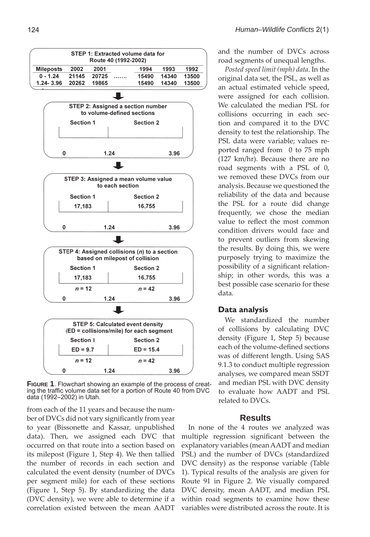

**FIGURE 1**. Flowchart showing an example of the process of creating the traffic volume data set for a portion of Route 40 from DVC data (1992–2002) in Utah.

from each of the 11 years and because the number of DVCs did not vary significantly from year to year (Bissonette and Kassar, unpublished data). Then, we assigned each DVC that occurred on that route into a section based on its milepost (Figure 1, Step 4). We then tallied the number of records in each section and calculated the event density (number of DVCs per segment mile) for each of these sections (Figure 1, Step 5). By standardizing the data (DVC density), we were able to determine if a correlation existed between the mean AADT and the number of DVCs across road segments of unequal lengths.

*Posted speed limit (mph) data*. In the original data set, the PSL, as well as an actual estimated vehicle speed, were assigned for each collision. We calculated the median PSL for collisions occurring in each section and compared it to the DVC density to test the relationship. The PSL data were variable; values reported ranged from 0 to 75 mph (127 km/hr). Because there are no road segments with a PSL of 0, we removed these DVCs from our analysis. Because we questioned the reliability of the data and because the PSL for a route did change frequently, we chose the median value to reflect the most common condition drivers would face and to prevent outliers from skewing the results. By doing this, we were purposely trying to maximize the possibility of a significant relationship; in other words, this was a best possible case scenario for these data.

#### **Data analysis**

We standardized the number of collisions by calculating DVC density (Figure 1, Step 5) because each of the volume-defined sections was of different length. Using SAS 9.1.3 to conduct multiple regression analyses, we compared mean SSDT and median PSL with DVC density to evaluate how AADT and PSL related to DVCs.

### **Results**

In none of the 4 routes we analyzed was multiple regression significant between the explanatory variables (mean AADT and median PSL) and the number of DVCs (standardized DVC density) as the response variable (Table 1). Typical results of the analysis are given for Route 91 in Figure 2. We visually compared DVC density, mean AADT, and median PSL within road segments to examine how these variables were distributed across the route. It is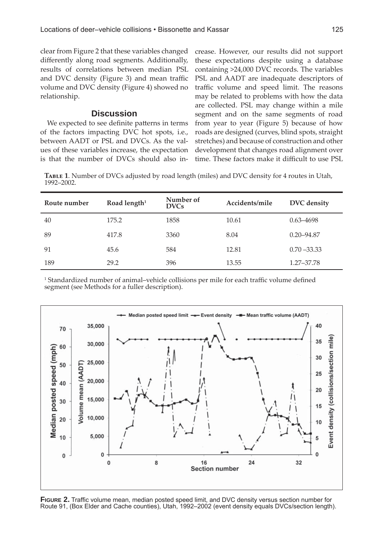clear from Figure 2 that these variables changed differently along road segments. Additionally, results of correlations between median PSL and DVC density (Figure 3) and mean traffic volume and DVC density (Figure 4) showed no relationship.

# **Discussion**

We expected to see definite patterns in terms of the factors impacting DVC hot spots, i.e., between AADT or PSL and DVCs. As the values of these variables increase, the expectation is that the number of DVCs should also increase. However, our results did not support these expectations despite using a database containing >24,000 DVC records. The variables PSL and AADT are inadequate descriptors of traffic volume and speed limit. The reasons may be related to problems with how the data are collected. PSL may change within a mile segment and on the same segments of road from year to year (Figure 5) because of how roads are designed (curves, blind spots, straight stretches) and because of construction and other development that changes road alignment over time. These factors make it difficult to use PSL

**Table 1**. Number of DVCs adjusted by road length (miles) and DVC density for 4 routes in Utah, 1992-2002.

| Route number | Road length <sup>1</sup> | Number of<br><b>DVCs</b> | Accidents/mile | DVC density    |
|--------------|--------------------------|--------------------------|----------------|----------------|
| 40           | 175.2                    | 1858                     | 10.61          | $0.63 - 4698$  |
| 89           | 417.8                    | 3360                     | 8.04           | $0.20 - 94.87$ |
| 91           | 45.6                     | 584                      | 12.81          | $0.70 - 33.33$ |
| 189          | 29.2                     | 396                      | 13.55          | 1.27-37.78     |

<sup>1</sup> Standardized number of animal–vehicle collisions per mile for each traffic volume defined segment (see Methods for a fuller description).



**FIGURE 2.** Traffic volume mean, median posted speed limit, and DVC density versus section number for Route 91, (Box Elder and Cache counties), Utah, 1992–2002 (event density equals DVCs/section length).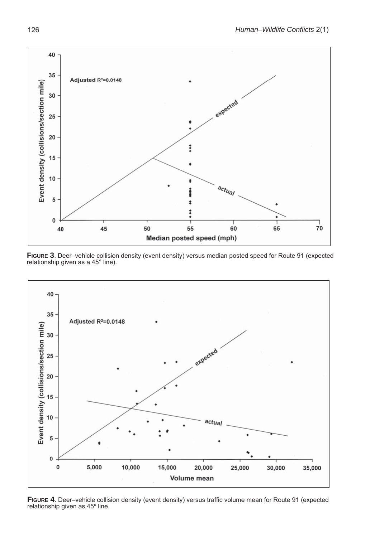

**FIGURE 3**. Deer–vehicle collision density (event density) versus median posted speed for Route 91 (expected relationship given as a 45° line).



FIGURE 4. Deer–vehicle collision density (event density) versus traffic volume mean for Route 91 (expected relationship given as 45º line.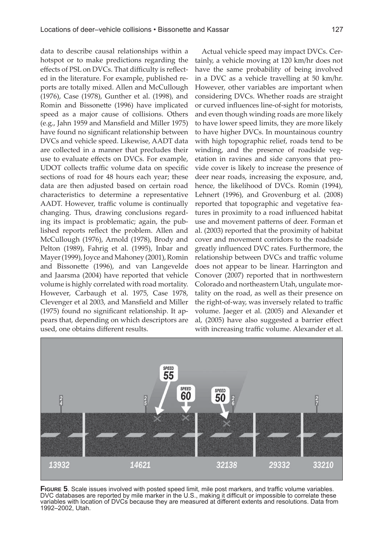data to describe causal relationships within a hotspot or to make predictions regarding the effects of PSL on DVCs. That difficulty is reflected in the literature. For example, published reports are totally mixed. Allen and McCullough (1976), Case (1978), Gunther et al. (1998), and Romin and Bissonette (1996) have implicated speed as a major cause of collisions. Others (e.g., Jahn 1959 and Mansfield and Miller 1975) have found no significant relationship between DVCs and vehicle speed. Likewise, AADT data are collected in a manner that precludes their use to evaluate effects on DVCs. For example, UDOT collects traffic volume data on specific sections of road for 48 hours each year; these data are then adjusted based on certain road characteristics to determine a representative AADT. However, traffic volume is continually changing. Thus, drawing conclusions regarding its impact is problematic; again, the published reports reflect the problem. Allen and McCullough (1976), Arnold (1978), Brody and Pelton (1989), Fahrig et al. (1995), Inbar and Mayer (1999), Joyce and Mahoney (2001), Romin and Bissonette (1996), and van Langevelde and Jaarsma (2004) have reported that vehicle volume is highly correlated with road mortality. However, Carbaugh et al. 1975, Case 1978, Clevenger et al 2003, and Mansfield and Miller  $(1975)$  found no significant relationship. It appears that, depending on which descriptors are used, one obtains different results.

Actual vehicle speed may impact DVCs. Certainly, a vehicle moving at 120 km/hr does not have the same probability of being involved in a DVC as a vehicle travelling at 50 km/hr. However, other variables are important when considering DVCs. Whether roads are straight or curved influences line-of-sight for motorists, and even though winding roads are more likely to have lower speed limits, they are more likely to have higher DVCs. In mountainous country with high topographic relief, roads tend to be winding, and the presence of roadside vegetation in ravines and side canyons that provide cover is likely to increase the presence of deer near roads, increasing the exposure, and, hence, the likelihood of DVCs. Romin (1994), Lehnert (1996), and Grovenburg et al. (2008) reported that topographic and vegetative features in proximity to a road influenced habitat use and movement patterns of deer. Forman et al. (2003) reported that the proximity of habitat cover and movement corridors to the roadside greatly influenced DVC rates. Furthermore, the relationship between DVCs and traffic volume does not appear to be linear. Harrington and Conover (2007) reported that in northwestern Colorado and northeastern Utah, ungulate mortality on the road, as well as their presence on the right-of-way, was inversely related to traffic volume. Jaeger et al. (2005) and Alexander et al, (2005) have also suggested a barrier effect with increasing traffic volume. Alexander et al.



FIGURE 5. Scale issues involved with posted speed limit, mile post markers, and traffic volume variables. DVC databases are reported by mile marker in the U.S., making it difficult or impossible to correlate these variables with location of DVCs because they are measured at different extents and resolutions. Data from 1992–2002, Utah.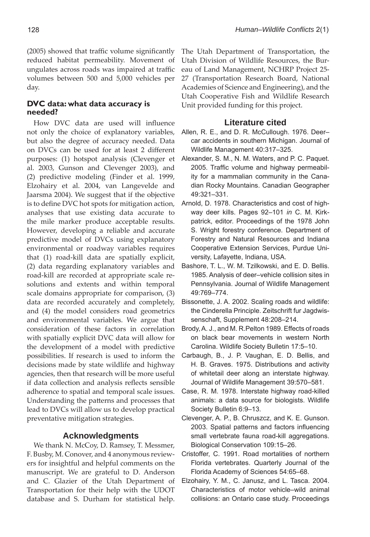$(2005)$  showed that traffic volume significantly reduced habitat permeability. Movement of ungulates across roads was impaired at traffic volumes between 500 and 5,000 vehicles per day.

# **DVC data: what data accuracy is needed?**

How DVC data are used will influence not only the choice of explanatory variables, but also the degree of accuracy needed. Data on DVCs can be used for at least 2 different purposes: (1) hotspot analysis (Clevenger et al. 2003, Gunson and Clevenger 2003), and (2) predictive modeling (Finder et al. 1999, Elzohairy et al. 2004, van Langevelde and Jaarsma 2004). We suggest that if the objective is to define DVC hot spots for mitigation action, analyses that use existing data accurate to the mile marker produce acceptable results. However, developing a reliable and accurate predictive model of DVCs using explanatory environmental or roadway variables requires that (1) road-kill data are spatially explicit, (2) data regarding explanatory variables and road-kill are recorded at appropriate scale resolutions and extents and within temporal scale domains appropriate for comparison, (3) data are recorded accurately and completely, and (4) the model considers road geometrics and environmental variables. We argue that consideration of these factors in correlation with spatially explicit DVC data will allow for the development of a model with predictive possibilities. If research is used to inform the decisions made by state wildlife and highway agencies, then that research will be more useful if data collection and analysis reflects sensible adherence to spatial and temporal scale issues. Understanding the patterns and processes that lead to DVCs will allow us to develop practical preventative mitigation strategies.

#### **Acknowledgments**

We thank N. McCoy, D. Ramsey, T. Messmer, F. Busby, M. Conover, and 4 anonymous reviewers for insightful and helpful comments on the manuscript. We are grateful to D. Anderson and C. Glazier of the Utah Department of Transportation for their help with the UDOT database and S. Durham for statistical help.

The Utah Department of Transportation, the Utah Division of Wildlife Resources, the Bureau of Land Management, NCHRP Project 25- 27 (Transportation Research Board, National Academies of Science and Engineering), and the Utah Cooperative Fish and Wildlife Research Unit provided funding for this project.

#### **Literature cited**

- Allen, R. E., and D. R. McCullough. 1976. Deer– car accidents in southern Michigan. Journal of Wildlife Management 40:317–325.
- Alexander, S. M., N. M. Waters, and P. C. Paquet. 2005. Traffic volume and highway permeability for a mammalian community in the Canadian Rocky Mountains. Canadian Geographer 49:321–331.
- Arnold, D. 1978. Characteristics and cost of highway deer kills. Pages 92–101 *in* C. M. Kirkpatrick, editor. Proceedings of the 1978 John S. Wright forestry conference. Department of Forestry and Natural Resources and Indiana Cooperative Extension Services, Purdue University, Lafayette, Indiana, USA.
- Bashore, T. L., W. M. Tzilkowski, and E. D. Bellis. 1985. Analysis of deer–vehicle collision sites in Pennsylvania. Journal of Wildlife Management 49:769–774.
- Bissonette, J. A. 2002. Scaling roads and wildlife: the Cinderella Principle. Zeitschrift fur Jagdwissenschaft, Supplement 48:208–214.
- Brody, A. J., and M. R.Pelton 1989. Effects of roads on black bear movements in western North Carolina. Wildlife Society Bulletin 17:5–10.
- Carbaugh, B., J. P. Vaughan, E. D. Bellis, and H. B. Graves. 1975. Distributions and activity of whitetail deer along an interstate highway. Journal of Wildlife Management 39:570–581.
- Case, R. M. 1978. Interstate highway road-killed animals: a data source for biologists. Wildlife Society Bulletin 6:9–13.
- Clevenger, A. P., B. Chruszcz, and K. E. Gunson. 2003. Spatial patterns and factors influencing small vertebrate fauna road-kill aggregations. Biological Conservation 109:15–26.
- Cristoffer, C. 1991. Road mortalities of northern Florida vertebrates. Quarterly Journal of the Florida Academy of Sciences 54:65–68.
- Elzohairy, Y. M., C. Janusz, and L. Tasca. 2004. Characteristics of motor vehicle–wild animal collisions: an Ontario case study. Proceedings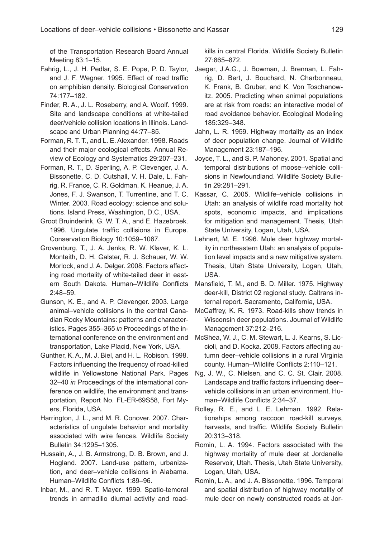of the Transportation Research Board Annual Meeting 83:1–15.

Fahrig, L., J. H. Pedlar, S. E. Pope, P. D. Taylor, and J. F. Wegner. 1995. Effect of road traffic on amphibian density. Biological Conservation 74:177–182.

- Finder, R. A., J. L. Roseberry, and A. Woolf. 1999. Site and landscape conditions at white-tailed deer/vehicle collision locations in Illinois. Landscape and Urban Planning 44:77–85.
- Forman, R. T. T., and L. E. Alexander. 1998. Roads and their major ecological effects. Annual Review of Ecology and Systematics 29:207–231.
- Forman, R. T., D. Sperling, A. P. Clevenger, J. A. Bissonette, C. D. Cutshall, V. H. Dale, L. Fahrig, R. France, C. R. Goldman, K. Heanue, J. A. Jones, F. J. Swanson, T. Turrentine, and T. C. Winter. 2003. Road ecology: science and solutions. Island Press, Washington, D.C., USA.
- Groot Bruinderink, G. W. T. A., and E. Hazebroek. 1996. Ungulate traffic collisions in Europe. Conservation Biology 10:1059–1067.
- Grovenburg, T., J. A. Jenks, R. W. Klaver, K. L. Monteith, D. H. Galster, R. J. Schauer, W. W. Morlock, and J. A. Delger. 2008. Factors affecting road mortality of white-tailed deer in eastern South Dakota. Human–Wildlife Conflicts 2:48–59.
- Gunson, K. E., and A. P. Clevenger. 2003. Large animal–vehicle collisions in the central Canadian Rocky Mountains: patterns and characteristics. Pages 355–365 *in* Proceedings of the international conference on the environment and transportation, Lake Placid, New York, USA.
- Gunther, K. A., M. J. Biel, and H. L. Robison. 1998. Factors influencing the frequency of road-killed wildlife in Yellowstone National Park. Pages 32–40 *in* Proceedings of the international conference on wildlife, the environment and transportation, Report No. FL-ER-69S58, Fort Myers, Florida, USA.
- Harrington, J. L., and M. R. Conover. 2007. Characteristics of ungulate behavior and mortality associated with wire fences. Wildlife Society Bulletin 34:1295–1305.
- Hussain, A., J. B. Armstrong, D. B. Brown, and J. Hogland. 2007. Land-use pattern, urbanization, and deer–vehicle collisions in Alabama. Human-Wildlife Conflicts 1:89-96.
- Inbar, M., and R. T. Mayer. 1999. Spatio-temoral trends in armadillo diurnal activity and road-

kills in central Florida. Wildlife Society Bulletin 27:865–872.

- Jaeger, J.A.G., J. Bowman, J. Brennan, L. Fahrig, D. Bert, J. Bouchard, N. Charbonneau, K. Frank, B. Gruber, and K. Von Toschanowitz. 2005. Predicting when animal populations are at risk from roads: an interactive model of road avoidance behavior. Ecological Modeling 185:329–348.
- Jahn, L. R. 1959. Highway mortality as an index of deer population change. Journal of Wildlife Management 23:187–196.
- Joyce, T. L., and S. P. Mahoney. 2001. Spatial and temporal distributions of moose–vehicle collisions in Newfoundland. Wildlife Society Bulletin 29:281–291.
- Kassar, C. 2005. Wildlife–vehicle collisions in Utah: an analysis of wildlife road mortality hot spots, economic impacts, and implications for mitigation and management. Thesis, Utah State University, Logan, Utah, USA.
- Lehnert, M. E. 1996. Mule deer highway mortality in northeastern Utah: an analysis of population level impacts and a new mitigative system. Thesis, Utah State University, Logan, Utah, USA.
- Mansfield, T. M., and B. D. Miller. 1975. Highway deer-kill, District 02 regional study. Caltrans internal report. Sacramento, California, USA.
- McCaffrey, K. R. 1973. Road-kills show trends in Wisconsin deer populations. Journal of Wildlife Management 37:212–216.
- McShea, W. J., C. M. Stewart, L. J. Kearns, S. Liccioli, and D. Kocka. 2008. Factors affecting autumn deer–vehicle collisions in a rural Virginia county. Human–Wildlife Conflicts 2:110-121.
- Ng, J. W., C. Nielsen, and C. C. St. Clair. 2008. Landscape and traffic factors influencing deervehicle collisions in an urban environment. Human–Wildlife Conflicts 2:34–37.
- Rolley, R. E., and L. E. Lehman. 1992. Relationships among raccoon road-kill surveys, harvests, and traffic. Wildlife Society Bulletin 20:313–318.
- Romin, L. A. 1994. Factors associated with the highway mortality of mule deer at Jordanelle Reservoir, Utah. Thesis, Utah State University, Logan, Utah, USA.
- Romin, L. A., and J. A. Bissonette. 1996. Temporal and spatial distribution of highway mortality of mule deer on newly constructed roads at Jor-